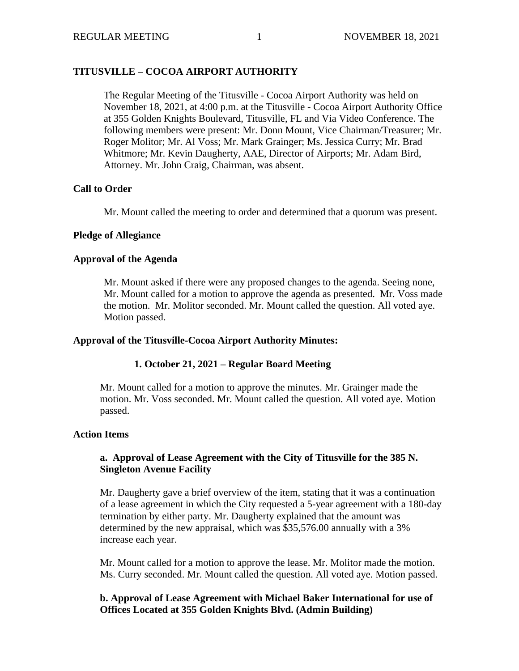# **TITUSVILLE – COCOA AIRPORT AUTHORITY**

The Regular Meeting of the Titusville - Cocoa Airport Authority was held on November 18, 2021, at 4:00 p.m. at the Titusville - Cocoa Airport Authority Office at 355 Golden Knights Boulevard, Titusville, FL and Via Video Conference. The following members were present: Mr. Donn Mount, Vice Chairman/Treasurer; Mr. Roger Molitor; Mr. Al Voss; Mr. Mark Grainger; Ms. Jessica Curry; Mr. Brad Whitmore; Mr. Kevin Daugherty, AAE, Director of Airports; Mr. Adam Bird, Attorney. Mr. John Craig, Chairman, was absent.

## **Call to Order**

Mr. Mount called the meeting to order and determined that a quorum was present.

### **Pledge of Allegiance**

### **Approval of the Agenda**

Mr. Mount asked if there were any proposed changes to the agenda. Seeing none, Mr. Mount called for a motion to approve the agenda as presented. Mr. Voss made the motion. Mr. Molitor seconded. Mr. Mount called the question. All voted aye. Motion passed.

### **Approval of the Titusville-Cocoa Airport Authority Minutes:**

# **1. October 21, 2021 – Regular Board Meeting**

Mr. Mount called for a motion to approve the minutes. Mr. Grainger made the motion. Mr. Voss seconded. Mr. Mount called the question. All voted aye. Motion passed.

### **Action Items**

# **a. Approval of Lease Agreement with the City of Titusville for the 385 N. Singleton Avenue Facility**

Mr. Daugherty gave a brief overview of the item, stating that it was a continuation of a lease agreement in which the City requested a 5-year agreement with a 180-day termination by either party. Mr. Daugherty explained that the amount was determined by the new appraisal, which was \$35,576.00 annually with a 3% increase each year.

Mr. Mount called for a motion to approve the lease. Mr. Molitor made the motion. Ms. Curry seconded. Mr. Mount called the question. All voted aye. Motion passed.

# **b. Approval of Lease Agreement with Michael Baker International for use of Offices Located at 355 Golden Knights Blvd. (Admin Building)**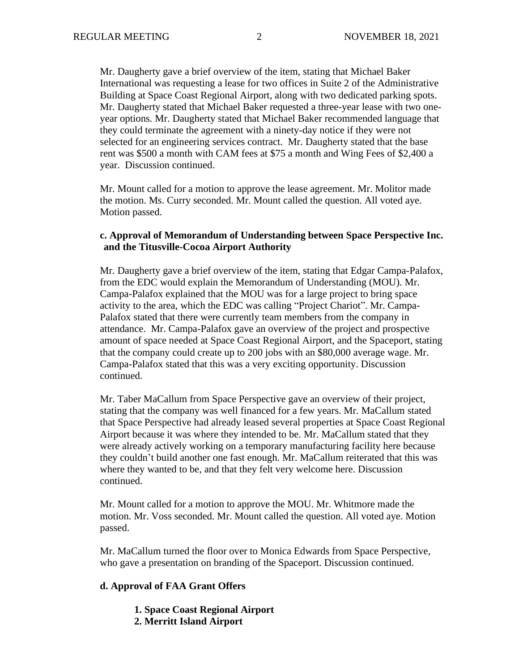Mr. Daugherty gave a brief overview of the item, stating that Michael Baker International was requesting a lease for two offices in Suite 2 of the Administrative Building at Space Coast Regional Airport, along with two dedicated parking spots. Mr. Daugherty stated that Michael Baker requested a three-year lease with two oneyear options. Mr. Daugherty stated that Michael Baker recommended language that they could terminate the agreement with a ninety-day notice if they were not selected for an engineering services contract. Mr. Daugherty stated that the base rent was \$500 a month with CAM fees at \$75 a month and Wing Fees of \$2,400 a year. Discussion continued.

Mr. Mount called for a motion to approve the lease agreement. Mr. Molitor made the motion. Ms. Curry seconded. Mr. Mount called the question. All voted aye. Motion passed.

#### **c. Approval of Memorandum of Understanding between Space Perspective Inc. and the Titusville-Cocoa Airport Authority**

Mr. Daugherty gave a brief overview of the item, stating that Edgar Campa-Palafox, from the EDC would explain the Memorandum of Understanding (MOU). Mr. Campa-Palafox explained that the MOU was for a large project to bring space activity to the area, which the EDC was calling "Project Chariot". Mr. Campa-Palafox stated that there were currently team members from the company in attendance. Mr. Campa-Palafox gave an overview of the project and prospective amount of space needed at Space Coast Regional Airport, and the Spaceport, stating that the company could create up to 200 jobs with an \$80,000 average wage. Mr. Campa-Palafox stated that this was a very exciting opportunity. Discussion continued.

Mr. Taber MaCallum from Space Perspective gave an overview of their project, stating that the company was well financed for a few years. Mr. MaCallum stated that Space Perspective had already leased several properties at Space Coast Regional Airport because it was where they intended to be. Mr. MaCallum stated that they were already actively working on a temporary manufacturing facility here because they couldn't build another one fast enough. Mr. MaCallum reiterated that this was where they wanted to be, and that they felt very welcome here. Discussion continued.

Mr. Mount called for a motion to approve the MOU. Mr. Whitmore made the motion. Mr. Voss seconded. Mr. Mount called the question. All voted aye. Motion passed.

Mr. MaCallum turned the floor over to Monica Edwards from Space Perspective, who gave a presentation on branding of the Spaceport. Discussion continued.

#### **d. Approval of FAA Grant Offers**

- **1. Space Coast Regional Airport**
- **2. Merritt Island Airport**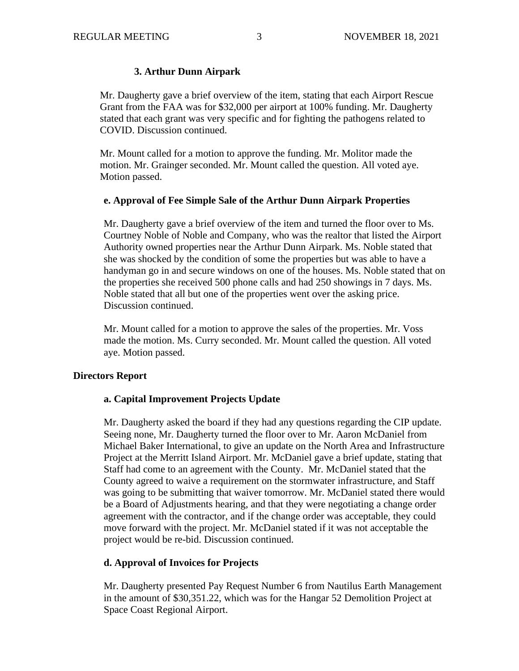## **3. Arthur Dunn Airpark**

Mr. Daugherty gave a brief overview of the item, stating that each Airport Rescue Grant from the FAA was for \$32,000 per airport at 100% funding. Mr. Daugherty stated that each grant was very specific and for fighting the pathogens related to COVID. Discussion continued.

Mr. Mount called for a motion to approve the funding. Mr. Molitor made the motion. Mr. Grainger seconded. Mr. Mount called the question. All voted aye. Motion passed.

#### **e. Approval of Fee Simple Sale of the Arthur Dunn Airpark Properties**

Mr. Daugherty gave a brief overview of the item and turned the floor over to Ms. Courtney Noble of Noble and Company, who was the realtor that listed the Airport Authority owned properties near the Arthur Dunn Airpark. Ms. Noble stated that she was shocked by the condition of some the properties but was able to have a handyman go in and secure windows on one of the houses. Ms. Noble stated that on the properties she received 500 phone calls and had 250 showings in 7 days. Ms. Noble stated that all but one of the properties went over the asking price. Discussion continued.

Mr. Mount called for a motion to approve the sales of the properties. Mr. Voss made the motion. Ms. Curry seconded. Mr. Mount called the question. All voted aye. Motion passed.

### **Directors Report**

### **a. Capital Improvement Projects Update**

Mr. Daugherty asked the board if they had any questions regarding the CIP update. Seeing none, Mr. Daugherty turned the floor over to Mr. Aaron McDaniel from Michael Baker International, to give an update on the North Area and Infrastructure Project at the Merritt Island Airport. Mr. McDaniel gave a brief update, stating that Staff had come to an agreement with the County. Mr. McDaniel stated that the County agreed to waive a requirement on the stormwater infrastructure, and Staff was going to be submitting that waiver tomorrow. Mr. McDaniel stated there would be a Board of Adjustments hearing, and that they were negotiating a change order agreement with the contractor, and if the change order was acceptable, they could move forward with the project. Mr. McDaniel stated if it was not acceptable the project would be re-bid. Discussion continued.

### **d. Approval of Invoices for Projects**

Mr. Daugherty presented Pay Request Number 6 from Nautilus Earth Management in the amount of \$30,351.22, which was for the Hangar 52 Demolition Project at Space Coast Regional Airport.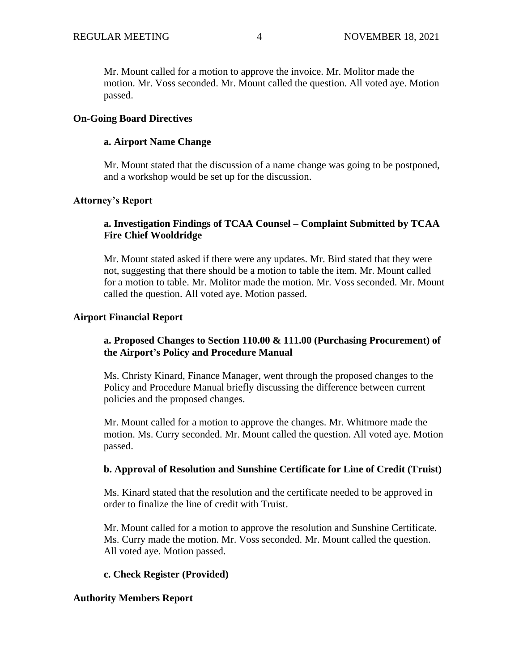Mr. Mount called for a motion to approve the invoice. Mr. Molitor made the motion. Mr. Voss seconded. Mr. Mount called the question. All voted aye. Motion passed.

### **On-Going Board Directives**

### **a. Airport Name Change**

Mr. Mount stated that the discussion of a name change was going to be postponed, and a workshop would be set up for the discussion.

### **Attorney's Report**

## **a. Investigation Findings of TCAA Counsel – Complaint Submitted by TCAA Fire Chief Wooldridge**

Mr. Mount stated asked if there were any updates. Mr. Bird stated that they were not, suggesting that there should be a motion to table the item. Mr. Mount called for a motion to table. Mr. Molitor made the motion. Mr. Voss seconded. Mr. Mount called the question. All voted aye. Motion passed.

#### **Airport Financial Report**

## **a. Proposed Changes to Section 110.00 & 111.00 (Purchasing Procurement) of the Airport's Policy and Procedure Manual**

Ms. Christy Kinard, Finance Manager, went through the proposed changes to the Policy and Procedure Manual briefly discussing the difference between current policies and the proposed changes.

Mr. Mount called for a motion to approve the changes. Mr. Whitmore made the motion. Ms. Curry seconded. Mr. Mount called the question. All voted aye. Motion passed.

### **b. Approval of Resolution and Sunshine Certificate for Line of Credit (Truist)**

Ms. Kinard stated that the resolution and the certificate needed to be approved in order to finalize the line of credit with Truist.

Mr. Mount called for a motion to approve the resolution and Sunshine Certificate. Ms. Curry made the motion. Mr. Voss seconded. Mr. Mount called the question. All voted aye. Motion passed.

### **c. Check Register (Provided)**

#### **Authority Members Report**